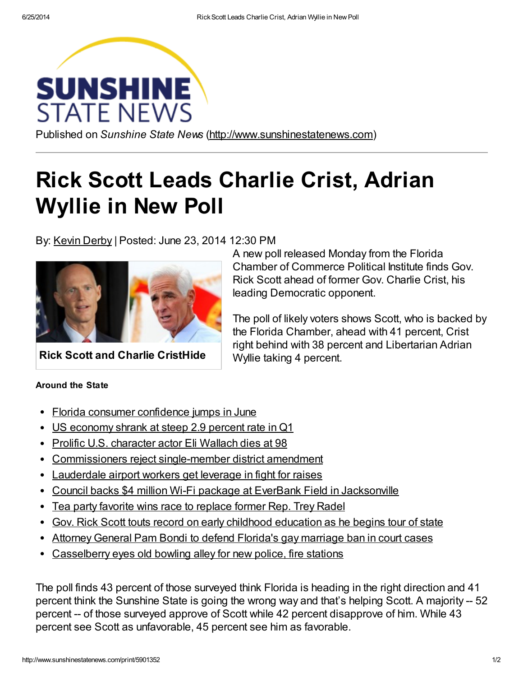

Published on Sunshine State News [\(http://www.sunshinestatenews.com\)](http://www.sunshinestatenews.com/)

## Rick Scott Leads Charlie Crist, Adrian Wyllie in New Poll

By: Kevin [Derby](http://www.sunshinestatenews.com/source/kevin-derby-0) | Posted: June 23, 2014 12:30 PM



Rick Scott and Charlie CristHide

## Around the State

- Florida consumer [confidence](http://www.sunshinestatenews.com/feeditem/florida-consumer-confidence-jumps-june) jumps in June  $\bullet$
- US [economy](http://www.sunshinestatenews.com/feeditem/us-economy-shrank-steep-29-percent-rate-q1) shrank at steep 2.9 percent rate in Q1  $\bullet$
- Prolific U.S. [character](http://www.sunshinestatenews.com/feeditem/prolific-us-character-actor-eli-wallach-dies-98) actor Eli Wallach dies at 98
- [Commissioners](http://www.sunshinestatenews.com/feeditem/commissioners-reject-single-member-district-amendment) reject single-member district amendment
- [Lauderdale](http://www.sunshinestatenews.com/feeditem/lauderdale-airport-workers-get-leverage-fight-raises) airport workers get leverage in fight for raises
- Council backs \$4 million Wi-Fi package at EverBank Field in [Jacksonville](http://www.sunshinestatenews.com/feeditem/council-backs-4-million-wi-fi-package-everbank-field-jacksonville)
- Tea party favorite wins race to [replace](http://www.sunshinestatenews.com/feeditem/tea-party-favorite-wins-race-replace-former-rep-trey-radel) former Rep. Trey Radel
- Gov. Rick Scott touts record on early childhood [education](http://www.sunshinestatenews.com/feeditem/gov-rick-scott-touts-record-early-childhood-education-he-begins-tour-state) as he begins tour of state
- Attorney General Pam Bondi to defend Florida's gay [marriage](http://www.sunshinestatenews.com/feeditem/attorney-general-pam-bondi-defend-floridas-gay-marriage-ban-court-cases) ban in court cases
- [Casselberry](http://www.sunshinestatenews.com/feeditem/casselberry-eyes-old-bowling-alley-new-police-fire-stations) eyes old bowling alley for new police, fire stations

The poll finds 43 percent of those surveyed think Florida is heading in the right direction and 41 percent think the Sunshine State is going the wrong way and that's helping Scott. A majority -- 52 percent -- of those surveyed approve of Scott while 42 percent disapprove of him. While 43 percent see Scott as unfavorable, 45 percent see him as favorable.

A new poll released Monday from the Florida Chamber of Commerce Political Institute finds Gov. Rick Scott ahead of former Gov. Charlie Crist, his leading Democratic opponent.

The poll of likely voters shows Scott, who is backed by the Florida Chamber, ahead with 41 percent, Crist right behind with 38 percent and Libertarian Adrian Wyllie taking 4 percent.